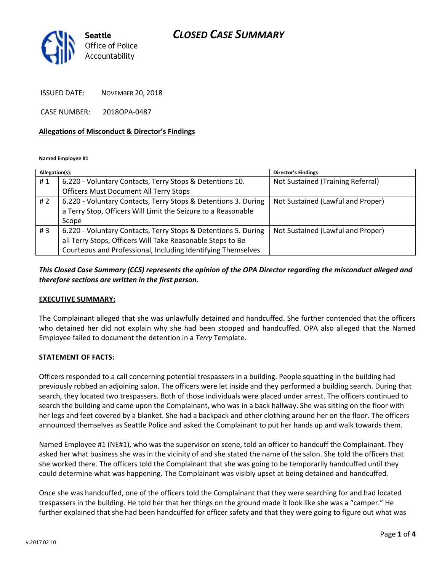## *CLOSED CASE SUMMARY*



ISSUED DATE: NOVEMBER 20, 2018

CASE NUMBER: 2018OPA-0487

#### **Allegations of Misconduct & Director's Findings**

**Named Employee #1**

| Allegation(s): |                                                                | <b>Director's Findings</b>        |
|----------------|----------------------------------------------------------------|-----------------------------------|
| #1             | 6.220 - Voluntary Contacts, Terry Stops & Detentions 10.       | Not Sustained (Training Referral) |
|                | <b>Officers Must Document All Terry Stops</b>                  |                                   |
| # 2            | 6.220 - Voluntary Contacts, Terry Stops & Detentions 3. During | Not Sustained (Lawful and Proper) |
|                | a Terry Stop, Officers Will Limit the Seizure to a Reasonable  |                                   |
|                | Scope                                                          |                                   |
| # $3$          | 6.220 - Voluntary Contacts, Terry Stops & Detentions 5. During | Not Sustained (Lawful and Proper) |
|                | all Terry Stops, Officers Will Take Reasonable Steps to Be     |                                   |
|                | Courteous and Professional, Including Identifying Themselves   |                                   |

## *This Closed Case Summary (CCS) represents the opinion of the OPA Director regarding the misconduct alleged and therefore sections are written in the first person.*

## **EXECUTIVE SUMMARY:**

The Complainant alleged that she was unlawfully detained and handcuffed. She further contended that the officers who detained her did not explain why she had been stopped and handcuffed. OPA also alleged that the Named Employee failed to document the detention in a *Terry* Template.

## **STATEMENT OF FACTS:**

Officers responded to a call concerning potential trespassers in a building. People squatting in the building had previously robbed an adjoining salon. The officers were let inside and they performed a building search. During that search, they located two trespassers. Both of those individuals were placed under arrest. The officers continued to search the building and came upon the Complainant, who was in a back hallway. She was sitting on the floor with her legs and feet covered by a blanket. She had a backpack and other clothing around her on the floor. The officers announced themselves as Seattle Police and asked the Complainant to put her hands up and walk towards them.

Named Employee #1 (NE#1), who was the supervisor on scene, told an officer to handcuff the Complainant. They asked her what business she was in the vicinity of and she stated the name of the salon. She told the officers that she worked there. The officers told the Complainant that she was going to be temporarily handcuffed until they could determine what was happening. The Complainant was visibly upset at being detained and handcuffed.

Once she was handcuffed, one of the officers told the Complainant that they were searching for and had located trespassers in the building. He told her that her things on the ground made it look like she was a "camper." He further explained that she had been handcuffed for officer safety and that they were going to figure out what was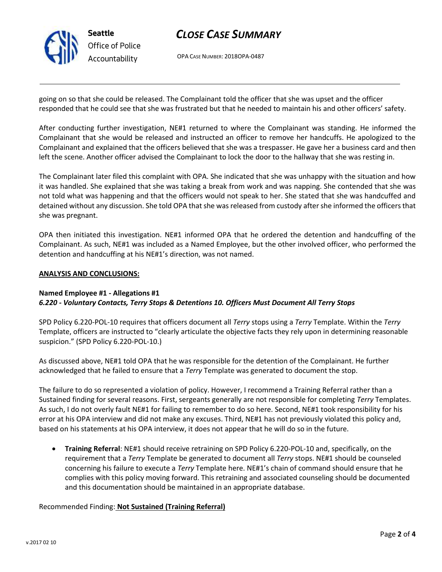

# *CLOSE CASE SUMMARY*

OPA CASE NUMBER: 2018OPA-0487

going on so that she could be released. The Complainant told the officer that she was upset and the officer responded that he could see that she was frustrated but that he needed to maintain his and other officers' safety.

After conducting further investigation, NE#1 returned to where the Complainant was standing. He informed the Complainant that she would be released and instructed an officer to remove her handcuffs. He apologized to the Complainant and explained that the officers believed that she was a trespasser. He gave her a business card and then left the scene. Another officer advised the Complainant to lock the door to the hallway that she was resting in.

The Complainant later filed this complaint with OPA. She indicated that she was unhappy with the situation and how it was handled. She explained that she was taking a break from work and was napping. She contended that she was not told what was happening and that the officers would not speak to her. She stated that she was handcuffed and detained without any discussion. She told OPA that she was released from custody after she informed the officers that she was pregnant.

OPA then initiated this investigation. NE#1 informed OPA that he ordered the detention and handcuffing of the Complainant. As such, NE#1 was included as a Named Employee, but the other involved officer, who performed the detention and handcuffing at his NE#1's direction, was not named.

## **ANALYSIS AND CONCLUSIONS:**

## **Named Employee #1 - Allegations #1** *6.220 - Voluntary Contacts, Terry Stops & Detentions 10. Officers Must Document All Terry Stops*

SPD Policy 6.220-POL-10 requires that officers document all *Terry* stops using a *Terry* Template. Within the *Terry*  Template, officers are instructed to "clearly articulate the objective facts they rely upon in determining reasonable suspicion." (SPD Policy 6.220-POL-10.)

As discussed above, NE#1 told OPA that he was responsible for the detention of the Complainant. He further acknowledged that he failed to ensure that a *Terry* Template was generated to document the stop.

The failure to do so represented a violation of policy. However, I recommend a Training Referral rather than a Sustained finding for several reasons. First, sergeants generally are not responsible for completing *Terry* Templates. As such, I do not overly fault NE#1 for failing to remember to do so here. Second, NE#1 took responsibility for his error at his OPA interview and did not make any excuses. Third, NE#1 has not previously violated this policy and, based on his statements at his OPA interview, it does not appear that he will do so in the future.

• **Training Referral**: NE#1 should receive retraining on SPD Policy 6.220-POL-10 and, specifically, on the requirement that a *Terry* Template be generated to document all *Terry* stops. NE#1 should be counseled concerning his failure to execute a *Terry* Template here. NE#1's chain of command should ensure that he complies with this policy moving forward. This retraining and associated counseling should be documented and this documentation should be maintained in an appropriate database.

## Recommended Finding: **Not Sustained (Training Referral)**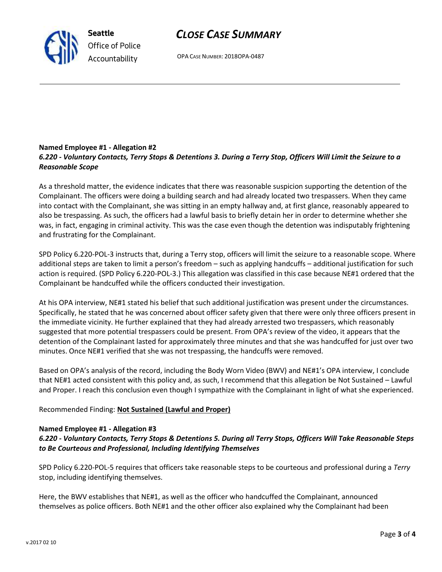# *CLOSE CASE SUMMARY*

OPA CASE NUMBER: 2018OPA-0487

## **Named Employee #1 - Allegation #2** *6.220 - Voluntary Contacts, Terry Stops & Detentions 3. During a Terry Stop, Officers Will Limit the Seizure to a Reasonable Scope*

As a threshold matter, the evidence indicates that there was reasonable suspicion supporting the detention of the Complainant. The officers were doing a building search and had already located two trespassers. When they came into contact with the Complainant, she was sitting in an empty hallway and, at first glance, reasonably appeared to also be trespassing. As such, the officers had a lawful basis to briefly detain her in order to determine whether she was, in fact, engaging in criminal activity. This was the case even though the detention was indisputably frightening and frustrating for the Complainant.

SPD Policy 6.220-POL-3 instructs that, during a Terry stop, officers will limit the seizure to a reasonable scope. Where additional steps are taken to limit a person's freedom – such as applying handcuffs – additional justification for such action is required. (SPD Policy 6.220-POL-3.) This allegation was classified in this case because NE#1 ordered that the Complainant be handcuffed while the officers conducted their investigation.

At his OPA interview, NE#1 stated his belief that such additional justification was present under the circumstances. Specifically, he stated that he was concerned about officer safety given that there were only three officers present in the immediate vicinity. He further explained that they had already arrested two trespassers, which reasonably suggested that more potential trespassers could be present. From OPA's review of the video, it appears that the detention of the Complainant lasted for approximately three minutes and that she was handcuffed for just over two minutes. Once NE#1 verified that she was not trespassing, the handcuffs were removed.

Based on OPA's analysis of the record, including the Body Worn Video (BWV) and NE#1's OPA interview, I conclude that NE#1 acted consistent with this policy and, as such, I recommend that this allegation be Not Sustained – Lawful and Proper. I reach this conclusion even though I sympathize with the Complainant in light of what she experienced.

## Recommended Finding: **Not Sustained (Lawful and Proper)**

## **Named Employee #1 - Allegation #3**

*6.220 - Voluntary Contacts, Terry Stops & Detentions 5. During all Terry Stops, Officers Will Take Reasonable Steps to Be Courteous and Professional, Including Identifying Themselves*

SPD Policy 6.220-POL-5 requires that officers take reasonable steps to be courteous and professional during a *Terry* stop, including identifying themselves.

Here, the BWV establishes that NE#1, as well as the officer who handcuffed the Complainant, announced themselves as police officers. Both NE#1 and the other officer also explained why the Complainant had been



**Seattle** *Office of Police Accountability*